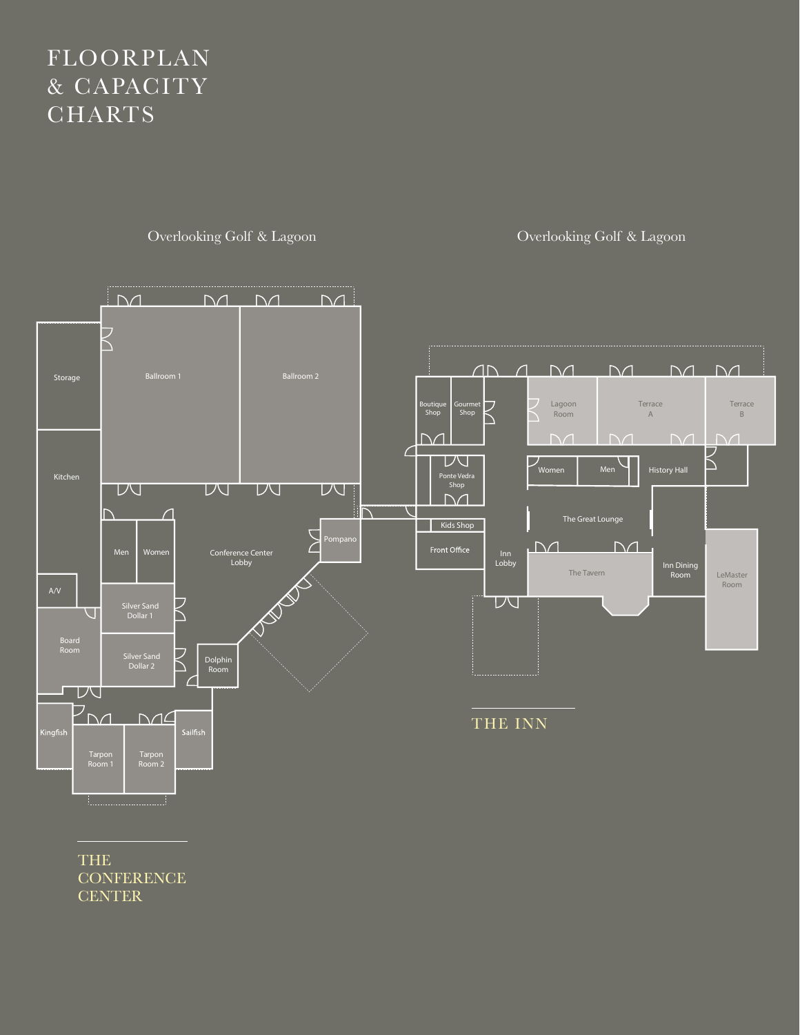## FLOORPLAN & CAPACITY **CHARTS**

Overlooking Golf & Lagoon Overlooking Golf & Lagoon



THE **CONFERENCE CENTER**